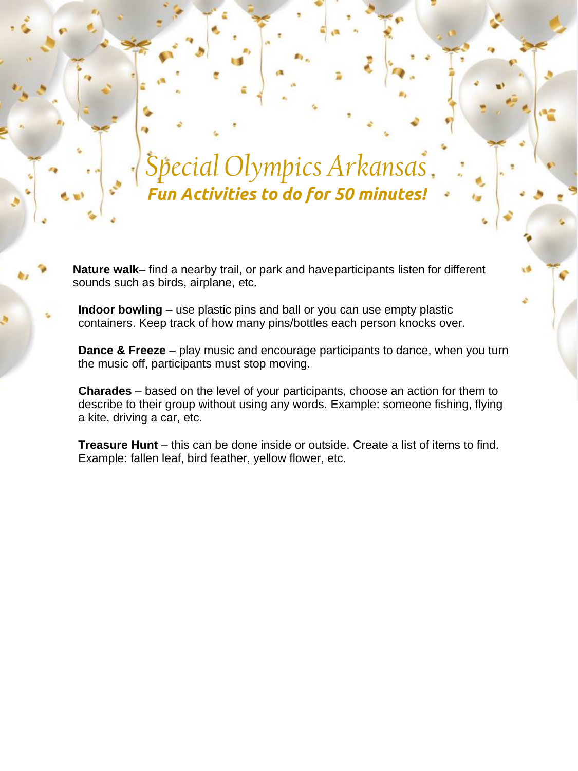## *Special Olympics Arkansas Fun Activities to do for 50 minutes!*

**Nature walk**– find a nearby trail, or park and haveparticipants listen for different sounds such as birds, airplane, etc.

**Indoor bowling** – use plastic pins and ball or you can use empty plastic containers. Keep track of how many pins/bottles each person knocks over.

**Dance & Freeze** – play music and encourage participants to dance, when you turn the music off, participants must stop moving.

**Charades** – based on the level of your participants, choose an action for them to describe to their group without using any words. Example: someone fishing, flying a kite, driving a car, etc.

**Treasure Hunt** – this can be done inside or outside. Create a list of items to find. Example: fallen leaf, bird feather, yellow flower, etc.